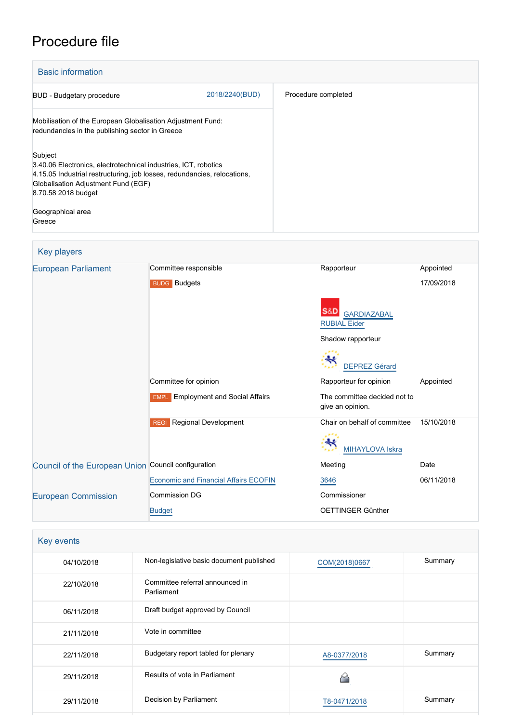# Procedure file

| <b>Basic information</b>                                                                                                                                                                                             |                |                     |
|----------------------------------------------------------------------------------------------------------------------------------------------------------------------------------------------------------------------|----------------|---------------------|
| <b>BUD</b> - Budgetary procedure                                                                                                                                                                                     | 2018/2240(BUD) | Procedure completed |
| Mobilisation of the European Globalisation Adjustment Fund:<br>redundancies in the publishing sector in Greece                                                                                                       |                |                     |
| Subject<br>3.40.06 Electronics, electrotechnical industries, ICT, robotics<br>4.15.05 Industrial restructuring, job losses, redundancies, relocations,<br>Globalisation Adjustment Fund (EGF)<br>8.70.58 2018 budget |                |                     |
| Geographical area<br>Greece                                                                                                                                                                                          |                |                     |

| <b>Key players</b> |  |
|--------------------|--|
|--------------------|--|

| <b>European Parliament</b>                          | Committee responsible                        | Rapporteur                                             | Appointed  |  |
|-----------------------------------------------------|----------------------------------------------|--------------------------------------------------------|------------|--|
|                                                     | <b>BUDG</b> Budgets                          |                                                        | 17/09/2018 |  |
|                                                     |                                              | S&D<br><b>GARDIAZABAL</b><br><b>RUBIAL Eider</b>       |            |  |
|                                                     |                                              | Shadow rapporteur                                      |            |  |
|                                                     |                                              | <b>DEPREZ Gérard</b>                                   |            |  |
|                                                     | Committee for opinion                        | Rapporteur for opinion                                 | Appointed  |  |
|                                                     | <b>EMPL</b> Employment and Social Affairs    | The committee decided not to<br>give an opinion.       |            |  |
|                                                     | Regional Development<br><b>REGI</b>          | Chair on behalf of committee<br><b>MIHAYLOVA Iskra</b> | 15/10/2018 |  |
| Council of the European Union Council configuration |                                              | Meeting                                                | Date       |  |
|                                                     | <b>Economic and Financial Affairs ECOFIN</b> | 3646                                                   | 06/11/2018 |  |
| <b>European Commission</b>                          | <b>Commission DG</b>                         | Commissioner                                           |            |  |
|                                                     | <b>Budget</b>                                | OETTINGER Günther                                      |            |  |

| Key events |                                               |               |         |
|------------|-----------------------------------------------|---------------|---------|
| 04/10/2018 | Non-legislative basic document published      | COM(2018)0667 | Summary |
| 22/10/2018 | Committee referral announced in<br>Parliament |               |         |
| 06/11/2018 | Draft budget approved by Council              |               |         |
| 21/11/2018 | Vote in committee                             |               |         |
| 22/11/2018 | Budgetary report tabled for plenary           | A8-0377/2018  | Summary |
| 29/11/2018 | Results of vote in Parliament                 | ∼             |         |
| 29/11/2018 | Decision by Parliament                        | T8-0471/2018  | Summary |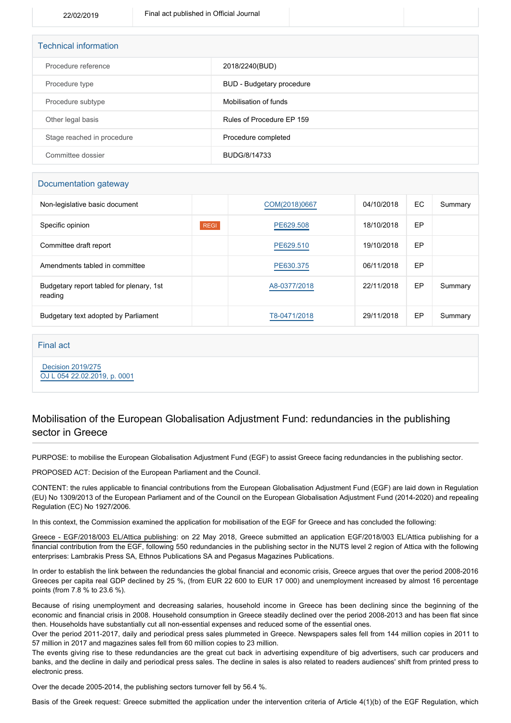| <b>Technical information</b> |                           |  |  |
|------------------------------|---------------------------|--|--|
| Procedure reference          | 2018/2240(BUD)            |  |  |
| Procedure type               | BUD - Budgetary procedure |  |  |
| Procedure subtype            | Mobilisation of funds     |  |  |
| Other legal basis            | Rules of Procedure EP 159 |  |  |
| Stage reached in procedure   | Procedure completed       |  |  |
| Committee dossier            | BUDG/8/14733              |  |  |

### Documentation gateway

| Non-legislative basic document                      |             | COM(2018)0667 | 04/10/2018 | EC. | Summary |
|-----------------------------------------------------|-------------|---------------|------------|-----|---------|
| Specific opinion                                    | <b>REGI</b> | PE629.508     | 18/10/2018 | EP  |         |
| Committee draft report                              |             | PE629.510     | 19/10/2018 | EP  |         |
| Amendments tabled in committee                      |             | PE630.375     | 06/11/2018 | EP  |         |
| Budgetary report tabled for plenary, 1st<br>reading |             | A8-0377/2018  | 22/11/2018 | EP  | Summary |
| Budgetary text adopted by Parliament                |             | T8-0471/2018  | 29/11/2018 | EP  | Summary |

### Final act

 [Decision 2019/275](https://eur-lex.europa.eu/smartapi/cgi/sga_doc?smartapi!celexplus!prod!CELEXnumdoc&lg=EN&numdoc=32019D0275) [OJ L 054 22.02.2019, p. 0001](https://eur-lex.europa.eu/legal-content/EN/TXT/?uri=OJ:L:2019:054:TOC)

## Mobilisation of the European Globalisation Adjustment Fund: redundancies in the publishing sector in Greece

PURPOSE: to mobilise the European Globalisation Adjustment Fund (EGF) to assist Greece facing redundancies in the publishing sector.

PROPOSED ACT: Decision of the European Parliament and the Council.

CONTENT: the rules applicable to financial contributions from the European Globalisation Adjustment Fund (EGF) are laid down in Regulation (EU) No 1309/2013 of the European Parliament and of the Council on the European Globalisation Adjustment Fund (2014-2020) and repealing Regulation (EC) No 1927/2006.

In this context, the Commission examined the application for mobilisation of the EGF for Greece and has concluded the following:

Greece - EGF/2018/003 EL/Attica publishing: on 22 May 2018, Greece submitted an application EGF/2018/003 EL/Attica publishing for a financial contribution from the EGF, following 550 redundancies in the publishing sector in the NUTS level 2 region of Attica with the following enterprises: Lambrakis Press SA, Ethnos Publications SA and Pegasus Magazines Publications.

In order to establish the link between the redundancies the global financial and economic crisis, Greece argues that over the period 2008-2016 Greeces per capita real GDP declined by 25 %, (from EUR 22 600 to EUR 17 000) and unemployment increased by almost 16 percentage points (from 7.8 % to 23.6 %).

Because of rising unemployment and decreasing salaries, household income in Greece has been declining since the beginning of the economic and financial crisis in 2008. Household consumption in Greece steadily declined over the period 2008-2013 and has been flat since then. Households have substantially cut all non-essential expenses and reduced some of the essential ones.

Over the period 2011-2017, daily and periodical press sales plummeted in Greece. Newspapers sales fell from 144 million copies in 2011 to 57 million in 2017 and magazines sales fell from 60 million copies to 23 million.

The events giving rise to these redundancies are the great cut back in advertising expenditure of big advertisers, such car producers and banks, and the decline in daily and periodical press sales. The decline in sales is also related to readers audiences' shift from printed press to electronic press.

Over the decade 2005-2014, the publishing sectors turnover fell by 56.4 %.

Basis of the Greek request: Greece submitted the application under the intervention criteria of Article 4(1)(b) of the EGF Regulation, which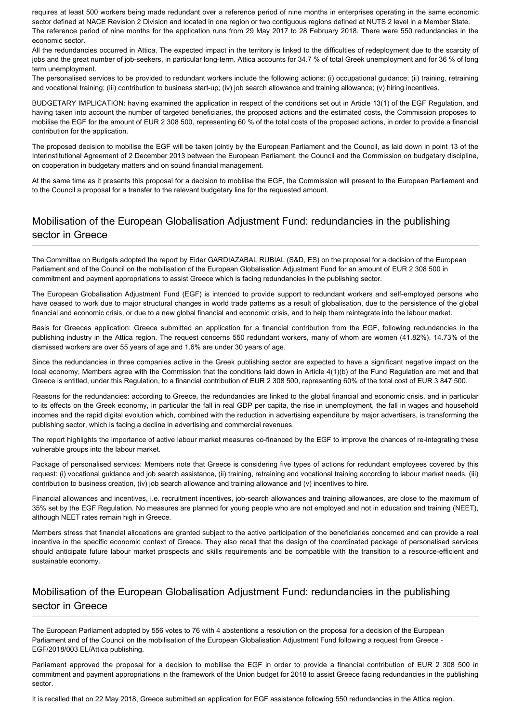requires at least 500 workers being made redundant over a reference period of nine months in enterprises operating in the same economic sector defined at NACE Revision 2 Division and located in one region or two contiguous regions defined at NUTS 2 level in a Member State. The reference period of nine months for the application runs from 29 May 2017 to 28 February 2018. There were 550 redundancies in the economic sector.

All the redundancies occurred in Attica. The expected impact in the territory is linked to the difficulties of redeployment due to the scarcity of jobs and the great number of job-seekers, in particular long-term. Attica accounts for 34.7 % of total Greek unemployment and for 36 % of long term unemployment.

The personalised services to be provided to redundant workers include the following actions: (i) occupational guidance; (ii) training, retraining and vocational training; (iii) contribution to business start-up; (iv) job search allowance and training allowance; (v) hiring incentives.

BUDGETARY IMPLICATION: having examined the application in respect of the conditions set out in Article 13(1) of the EGF Regulation, and having taken into account the number of targeted beneficiaries, the proposed actions and the estimated costs, the Commission proposes to mobilise the EGF for the amount of EUR 2 308 500, representing 60 % of the total costs of the proposed actions, in order to provide a financial contribution for the application.

The proposed decision to mobilise the EGF will be taken jointly by the European Parliament and the Council, as laid down in point 13 of the Interinstitutional Agreement of 2 December 2013 between the European Parliament, the Council and the Commission on budgetary discipline, on cooperation in budgetary matters and on sound financial management.

At the same time as it presents this proposal for a decision to mobilise the EGF, the Commission will present to the European Parliament and to the Council a proposal for a transfer to the relevant budgetary line for the requested amount.

# Mobilisation of the European Globalisation Adjustment Fund: redundancies in the publishing sector in Greece

The Committee on Budgets adopted the report by Eider GARDIAZABAL RUBIAL (S&D, ES) on the proposal for a decision of the European Parliament and of the Council on the mobilisation of the European Globalisation Adjustment Fund for an amount of EUR 2 308 500 in commitment and payment appropriations to assist Greece which is facing redundancies in the publishing sector.

The European Globalisation Adjustment Fund (EGF) is intended to provide support to redundant workers and self-employed persons who have ceased to work due to major structural changes in world trade patterns as a result of globalisation, due to the persistence of the global financial and economic crisis, or due to a new global financial and economic crisis, and to help them reintegrate into the labour market.

Basis for Greeces application: Greece submitted an application for a financial contribution from the EGF, following redundancies in the publishing industry in the Attica region. The request concerns 550 redundant workers, many of whom are women (41.82%). 14.73% of the dismissed workers are over 55 years of age and 1.6% are under 30 years of age.

Since the redundancies in three companies active in the Greek publishing sector are expected to have a significant negative impact on the local economy, Members agree with the Commission that the conditions laid down in Article 4(1)(b) of the Fund Regulation are met and that Greece is entitled, under this Regulation, to a financial contribution of EUR 2 308 500, representing 60% of the total cost of EUR 3 847 500.

Reasons for the redundancies: according to Greece, the redundancies are linked to the global financial and economic crisis, and in particular to its effects on the Greek economy, in particular the fall in real GDP per capita, the rise in unemployment, the fall in wages and household incomes and the rapid digital evolution which, combined with the reduction in advertising expenditure by major advertisers, is transforming the publishing sector, which is facing a decline in advertising and commercial revenues.

The report highlights the importance of active labour market measures co-financed by the EGF to improve the chances of re-integrating these vulnerable groups into the labour market.

Package of personalised services: Members note that Greece is considering five types of actions for redundant employees covered by this request: (i) vocational guidance and job search assistance, (ii) training, retraining and vocational training according to labour market needs, (iii) contribution to business creation, (iv) job search allowance and training allowance and (v) incentives to hire.

Financial allowances and incentives, i.e. recruitment incentives, job-search allowances and training allowances, are close to the maximum of 35% set by the EGF Regulation. No measures are planned for young people who are not employed and not in education and training (NEET), although NEET rates remain high in Greece.

Members stress that financial allocations are granted subject to the active participation of the beneficiaries concerned and can provide a real incentive in the specific economic context of Greece. They also recall that the design of the coordinated package of personalised services should anticipate future labour market prospects and skills requirements and be compatible with the transition to a resource-efficient and sustainable economy.

# Mobilisation of the European Globalisation Adjustment Fund: redundancies in the publishing sector in Greece

The European Parliament adopted by 556 votes to 76 with 4 abstentions a resolution on the proposal for a decision of the European Parliament and of the Council on the mobilisation of the European Globalisation Adjustment Fund following a request from Greece -EGF/2018/003 EL/Attica publishing.

Parliament approved the proposal for a decision to mobilise the EGF in order to provide a financial contribution of EUR 2 308 500 in commitment and payment appropriations in the framework of the Union budget for 2018 to assist Greece facing redundancies in the publishing sector.

It is recalled that on 22 May 2018, Greece submitted an application for EGF assistance following 550 redundancies in the Attica region.